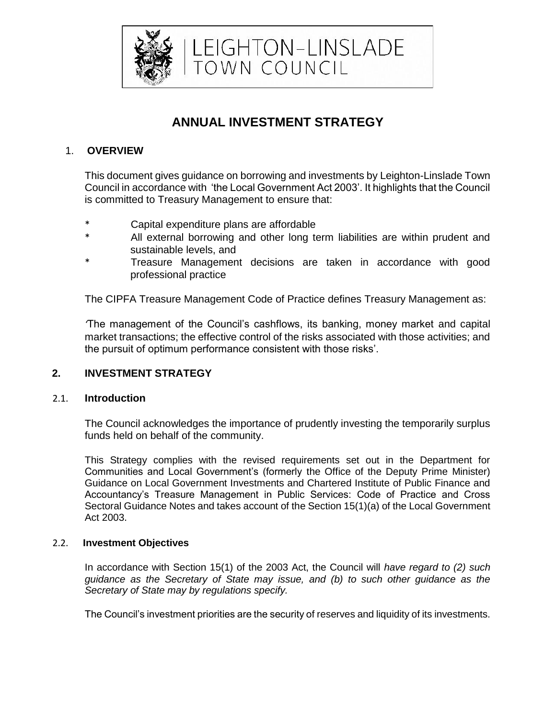

LEIGHTON-LINSLADE<br>TOWN COUNCIL

# **ANNUAL INVESTMENT STRATEGY**

# 1. **OVERVIEW**

This document gives guidance on borrowing and investments by Leighton-Linslade Town Council in accordance with 'the Local Government Act 2003'. It highlights that the Council is committed to Treasury Management to ensure that:

- \* Capital expenditure plans are affordable
- All external borrowing and other long term liabilities are within prudent and sustainable levels, and
- Treasure Management decisions are taken in accordance with good professional practice

The CIPFA Treasure Management Code of Practice defines Treasury Management as:

*'*The management of the Council's cashflows, its banking, money market and capital market transactions; the effective control of the risks associated with those activities; and the pursuit of optimum performance consistent with those risks'.

## **2. INVESTMENT STRATEGY**

## 2.1. **Introduction**

The Council acknowledges the importance of prudently investing the temporarily surplus funds held on behalf of the community.

This Strategy complies with the revised requirements set out in the Department for Communities and Local Government's (formerly the Office of the Deputy Prime Minister) Guidance on Local Government Investments and Chartered Institute of Public Finance and Accountancy's Treasure Management in Public Services: Code of Practice and Cross Sectoral Guidance Notes and takes account of the Section 15(1)(a) of the Local Government Act 2003.

## 2.2. **Investment Objectives**

In accordance with Section 15(1) of the 2003 Act, the Council will *have regard to (2) such guidance as the Secretary of State may issue, and (b) to such other guidance as the Secretary of State may by regulations specify.* 

The Council's investment priorities are the security of reserves and liquidity of its investments.